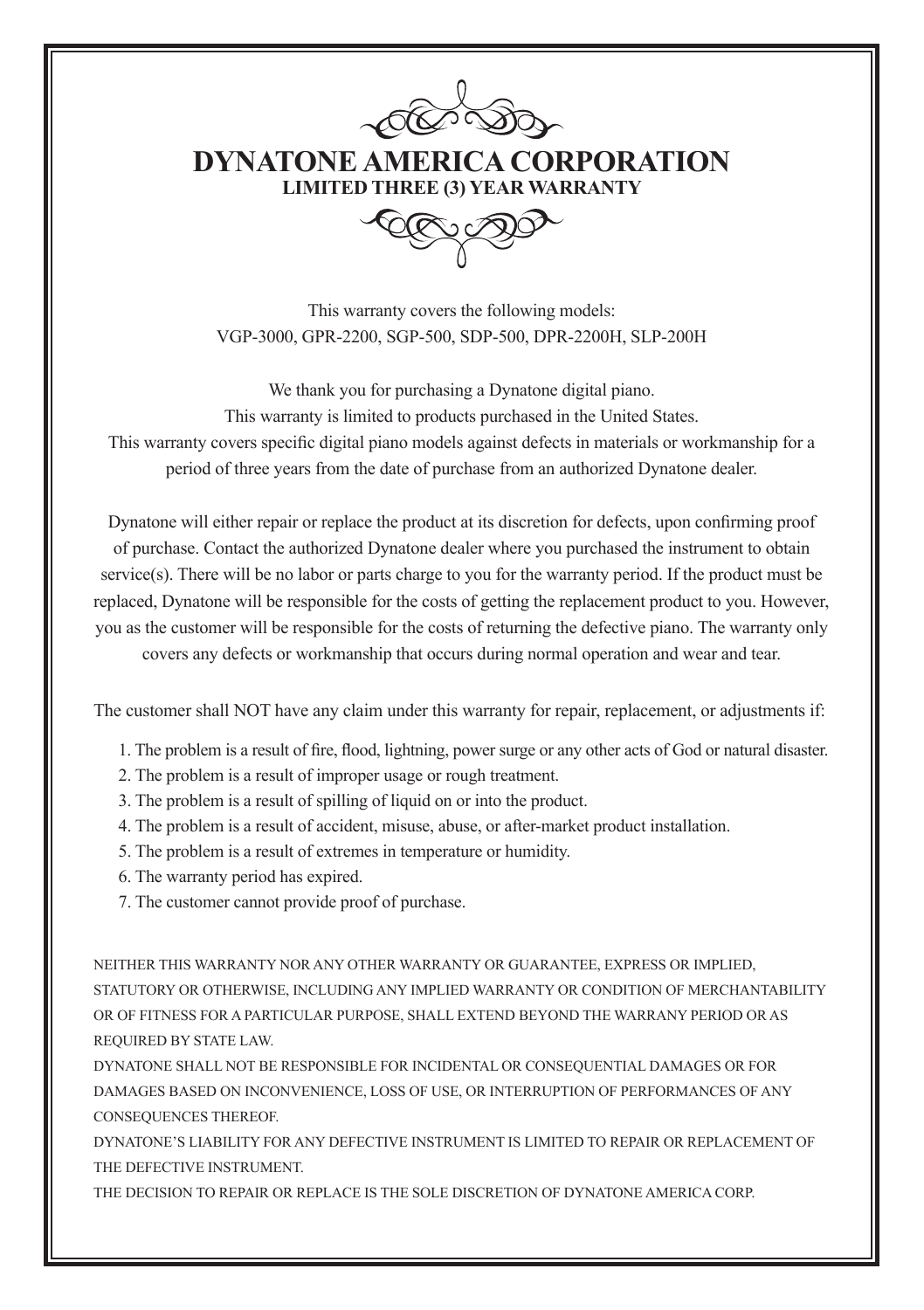

**DYNATONE AMERICA CORPORATION LIMITED THREE (3) YEAR WARRANTY**

This warranty covers the following models: VGP-3000, GPR-2200, SGP-500, SDP-500, DPR-2200H, SLP-200H

We thank you for purchasing a Dynatone digital piano. This warranty is limited to products purchased in the United States. This warranty covers specific digital piano models against defects in materials or workmanship for a period of three years from the date of purchase from an authorized Dynatone dealer.

Dynatone will either repair or replace the product at its discretion for defects, upon confirming proof of purchase. Contact the authorized Dynatone dealer where you purchased the instrument to obtain service(s). There will be no labor or parts charge to you for the warranty period. If the product must be replaced, Dynatone will be responsible for the costs of getting the replacement product to you. However, you as the customer will be responsible for the costs of returning the defective piano. The warranty only covers any defects or workmanship that occurs during normal operation and wear and tear.

The customer shall NOT have any claim under this warranty for repair, replacement, or adjustments if:

- 1. The problem is a result of fire, flood, lightning, power surge or any other acts of God or natural disaster.
- 2. The problem is a result of improper usage or rough treatment.
- 3. The problem is a result of spilling of liquid on or into the product.
- 4. The problem is a result of accident, misuse, abuse, or after-market product installation.
- 5. The problem is a result of extremes in temperature or humidity.
- 6. The warranty period has expired.
- 7. The customer cannot provide proof of purchase.

NEITHER THIS WARRANTY NOR ANY OTHER WARRANTY OR GUARANTEE, EXPRESS OR IMPLIED, STATUTORY OR OTHERWISE, INCLUDING ANY IMPLIED WARRANTY OR CONDITION OF MERCHANTABILITY OR OF FITNESS FOR A PARTICULAR PURPOSE, SHALL EXTEND BEYOND THE WARRANY PERIOD OR AS REQUIRED BY STATE LAW.

DYNATONE SHALL NOT BE RESPONSIBLE FOR INCIDENTAL OR CONSEQUENTIAL DAMAGES OR FOR DAMAGES BASED ON INCONVENIENCE, LOSS OF USE, OR INTERRUPTION OF PERFORMANCES OF ANY CONSEQUENCES THEREOF.

DYNATONE'S LIABILITY FOR ANY DEFECTIVE INSTRUMENT IS LIMITED TO REPAIR OR REPLACEMENT OF THE DEFECTIVE INSTRUMENT.

THE DECISION TO REPAIR OR REPLACE IS THE SOLE DISCRETION OF DYNATONE AMERICA CORP.